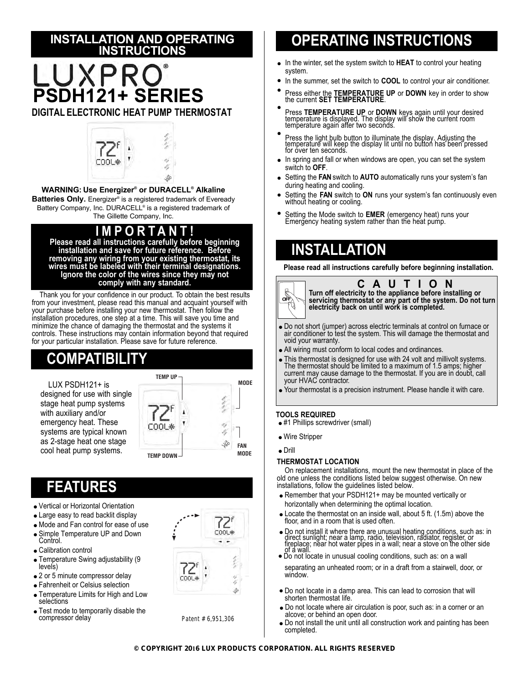## **INSTALLATION AND OPERATING INSTRUCTIONS**

# **PSDH121+ SERIES**

**DIGITAL ELECTRONIC HEAT PUMP THERMOSTAT**



**WARNING: Use Energizer® or DURACELL® Alkaline** 

**Batteries Only.** Energizer® is a registered trademark of Eveready Battery Company, Inc. DURACELL® is a registered trademark of The Gillette Company, Inc.

## **IMPOR T ANT!**

**Please read all instructions carefully before beginning installation and save for future reference. Before removing any wiring from your existing thermostat, its wires must be labeled with their terminal designations. Ignore the color of the wires since they may not comply with any standard.**

Thank you for your confidence in our product. To obtain the best results from your investment, please read this manual and acquaint yourself with your purchase before installing your new thermostat. Then follow the installation procedures, one step at a time. This will save you time and minimize the chance of damaging the thermostat and the systems it controls. These instructions may contain information beyond that required for your particular installation. Please save for future reference.

# **COMPATIBILITY**

LUX PSDH121+ is designed for use with single stage heat pump systems with auxiliary and/or emergency heat. These systems are typical known as 2-stage heat one stage cool heat pump systems.



## **FEATURES**

- Vertical or Horizontal Orientation
- Large easy to read backlit display
- Mode and Fan control for ease of use
- Simple Temperature UP and Down Control.
- Calibration control
- Temperature Swing adjustability (9 levels)
- 2 or 5 minute compressor delay
- Fahrenheit or Celsius selection
- Temperature Limits for High and Low selections
- Test mode to temporarily disable the compressor delay



Patent # 6,951,306

# **OPERATING INSTRUCTIONS**

- In the winter, set the system switch to **HEAT** to control your heating system.
- In the summer, set the switch to **COOL** to control your air conditioner.
- Press either the **TEMPERATURE UP** or **DOWN** key in order to show the current **SET TEMPERATURE**.
- Press **TEMPERATURE UP** or **DOWN** keys again until your desired<br>temperature is displayed. The display will show the current room<br>temperature again after two seconds.
- Press the light bulb button to illuminate the display. Adjusting the temperature will keep the display lit until no button has been pressed for over ten seconds.
- In spring and fall or when windows are open, you can set the system switch to **OFF**.
- Setting the **FAN** switch to **AUTO** automatically runs your system's fan during heating and cooling.
- Setting the **FAN** switch to **ON** runs your system's fan continuously even without heating or cooling.
- Setting the Mode switch to **EMER** (emergency heat) runs your Emergency heating system rather than the heat pump.

## **INSTALLATION**

**Please read all instructions carefully before beginning installation.**



**CAUTION Turn off electricity to the appliance before installing or servicing thermostat or any part of the system. Do not turn electricity back on until work is completed.**

- Do not short (jumper) across electric terminals at control on furnace or air conditioner to test the system. This will damage the thermostat and void your warranty.
- All wiring must conform to local codes and ordinances.
- This thermostat is designed for use with 24 volt and millivolt systems. The thermostat should be limited to a maximum of 1.5 amps; higher current may cause damage to the thermostat. If you are in doubt, call your HVAC contractor.
- Your thermostat is a precision instrument. Please handle it with care.

### **TOOLS REQUIRED**

- #1 Phillips screwdriver (small)
- Wire Stripper
- Drill

### **THERMOSTAT LOCATION**

On replacement installations, mount the new thermostat in place of the old one unless the conditions listed below suggest otherwise. On new installations, follow the guidelines listed below.

- Remember that your PSDH121+ may be mounted vertically or horizontally when determining the optimal location.
- Locate the thermostat on an inside wall, about 5 ft. (1.5m) above the floor, and in a room that is used often.
- Do not install it where there are unusual heating conditions, such as: in<br>direct sunlight; near a lamp, radio, television, radiator, register, or<br>fireplace; near hot water pipes in a wall; near a stove on the other side<br>
- Do not locate in unusual cooling conditions, such as: on a wall separating an unheated room; or in a draft from a stairwell, door, or window.
- Do not locate in a damp area. This can lead to corrosion that will shorten thermostat life.
- Do not locate where air circulation is poor, such as: in a corner or an alcove; or behind an open door.
- Do not install the unit until all construction work and painting has been completed.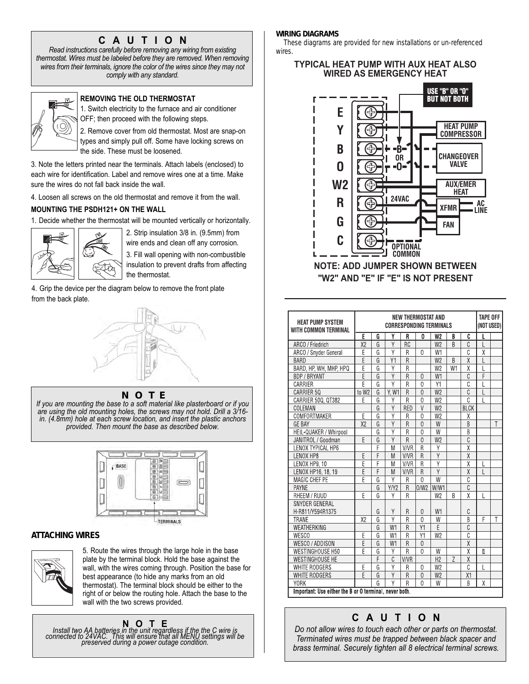## **CAUTION**

*Read instructions carefully before removing any wiring from existing thermostat. Wires must be labeled before they are removed. When removing wires from their terminals, ignore the color of the wires since they may not comply with any standard.*



**REMOVING THE OLD THERMOSTAT**

1. Switch electricity to the furnace and air conditioner OFF; then proceed with the following steps.

2. Remove cover from old thermostat. Most are snap-on types and simply pull off. Some have locking screws on the side. These must be loosened.

3. Note the letters printed near the terminals. Attach labels (enclosed) to each wire for identification. Label and remove wires one at a time. Make sure the wires do not fall back inside the wall.

4. Loosen all screws on the old thermostat and remove it from the wall.

## **MOUNTING THE PSDH121+ ON THE WALL**

1. Decide whether the thermostat will be mounted vertically or horizontally.



2. Strip insulation 3/8 in. (9.5mm) from wire ends and clean off any corrosion.

3. Fill wall opening with non-combustible insulation to prevent drafts from affecting the thermostat.

4. Grip the device per the diagram below to remove the front plate from the back plate.



#### **NOTE**

*If you are mounting the base to a soft material like plasterboard or if you are using the old mounting holes, the screws may not hold. Drill a 3/16 in. (4.8mm) hole at each screw location, and insert the plastic anchors provided. Then mount the base as described below.*



### **ATTACHING WIRES**



5. Route the wires through the large hole in the base plate by the terminal block. Hold the base against the wall, with the wires coming through. Position the base for best appearance (to hide any marks from an old thermostat). The terminal block should be either to the right of or below the routing hole. Attach the base to the wall with the two screws provided.

**NOTE**<br>Install two AA batteries in the unit regardless if the the C wire is<br>connected to 24VAC. This will ensure that all MENU settings will be<br>preserved during a power outage condition.

#### **WIRING DIAGRAMS**

These diagrams are provided for new installations or un-referenced wires.

## **TYPICAL HEAT PUMP WITH AUX HEAT ALSO WIRED AS EMERGENCY HEAT**



| <b>HEAT PUMP SYSTEM</b><br><b>WITH COMMON TERMINAL</b> | <b>NEW THERMOSTAT AND</b><br><b>CORRESPONDING TERMINALS</b> |   |                |                |                |                |    |                         | <b>TAPE OFF</b><br>(NOT USED) |                         |
|--------------------------------------------------------|-------------------------------------------------------------|---|----------------|----------------|----------------|----------------|----|-------------------------|-------------------------------|-------------------------|
|                                                        | E                                                           | G | Υ              | R              | 0              | W <sub>2</sub> | B  | C                       | L                             |                         |
| ARCO / Friedrich                                       | X <sub>2</sub>                                              | G | Ÿ              | <b>RC</b>      |                | W <sub>2</sub> | B  | C                       | L                             |                         |
| ARCO / Snyder General                                  | E                                                           | G | Ÿ              | R              | $\mathbf{0}$   | W1             |    | Ĉ                       | χ                             |                         |
| <b>BARD</b>                                            | $\overline{E}$                                              | G | Y1             | R              |                | W <sub>2</sub> | B  | $\overline{\mathsf{x}}$ | L                             |                         |
| BARD, HP, WH, MHP, HPQ                                 | E                                                           | G | Υ              | R              |                | W <sub>2</sub> | W1 | X                       | Ĺ                             |                         |
| <b>BDP / BRYANT</b>                                    | Ē                                                           | G | Y              | R              | $\overline{0}$ | W1             |    | C                       | F                             |                         |
| CARRIER                                                | F                                                           | G | Ÿ              | $\overline{R}$ | $\mathbf{0}$   | Υ1             |    | C                       |                               |                         |
| CARRIER 50                                             | to W2                                                       | G | Y. W1          | R              | $\overline{0}$ | W <sub>2</sub> |    | C                       | L                             |                         |
| CARRIER 500, 0T382                                     | E                                                           | G | Υ              | $\overline{R}$ | $\theta$       | W <sub>2</sub> |    | $\overline{C}$          | L                             |                         |
| COLEMAN                                                |                                                             | G | Ÿ              | <b>RED</b>     | $\vee$         | W <sub>2</sub> |    | <b>BLCK</b>             |                               |                         |
| COMFORTMAKER                                           | E                                                           | G | Ÿ              | R              | $\overline{0}$ | W <sub>2</sub> |    | χ                       |                               |                         |
| <b>GE BAY</b>                                          | X <sub>2</sub>                                              | G | $\overline{Y}$ | R              | $\overline{0}$ | W              |    | B                       |                               | $\overline{\mathsf{T}}$ |
| HEIL-QUAKER / Whirpool                                 |                                                             | G | Ÿ              | R              | $\Omega$       | W              |    | B                       |                               |                         |
| JANITROL / Goodman                                     | F                                                           | G | Ÿ              | R              | $\overline{0}$ | W <sub>2</sub> |    | $\overline{C}$          |                               |                         |
| LENOX TYPICAL HP6                                      |                                                             | F | M              | V/VR           | R              | Υ              |    | $\overline{\mathsf{X}}$ |                               |                         |
| LENOX HP8                                              | E                                                           | F | M              | <b>V/VR</b>    | $\overline{R}$ | Ÿ              |    | $\overline{\mathsf{X}}$ |                               |                         |
| LENOX HP9, 10                                          | Ē                                                           | F | M              | <b>V/VR</b>    | R              | Ÿ              |    | $\overline{\mathsf{X}}$ | L                             |                         |
| LENOX HP16, 18, 19                                     | $\overline{E}$                                              | F | M              | <b>V/VR</b>    | R              | Ÿ              |    | $\overline{\chi}$       | L                             |                         |
| MAGIC CHEF PE                                          | $\overline{\mathsf{F}}$                                     | G | Ÿ              | R              | $\Omega$       | W              |    | Ċ                       |                               |                         |
| <b>PAYNE</b>                                           |                                                             | G | Y/Y2           | R              | 0/W2           | W/W1           |    | $\overline{C}$          |                               |                         |
| RHEEM / RUUD                                           | F                                                           | G | γ              | R              |                | W <sub>2</sub> | B  | $\overline{\mathsf{x}}$ | L                             |                         |
| SNYDER GENERAL                                         |                                                             |   |                |                |                |                |    |                         |                               |                         |
| H-R811/Y594R1375                                       |                                                             | G | Y              | R              | $\mathbf 0$    | W1             |    | C                       |                               |                         |
| <b>TRANE</b>                                           | X <sub>2</sub>                                              | G | Υ              | R              | $\Omega$       | W              |    | R                       | F                             | T                       |
| WEATHERKING                                            |                                                             | G | W1             | R              | Y1             | E              |    | C                       |                               |                         |
| WESCO                                                  | Ë                                                           | G | W1             | R              | Y1             | W <sub>2</sub> |    | Ċ                       |                               |                         |
| WESCO / ADDISON                                        | E                                                           | G | W1             | R              | $\Omega$       |                |    | $\overline{\mathsf{X}}$ |                               |                         |
| <b>WESTINGHOUSE H50</b>                                | F                                                           | G | Υ              | $\overline{R}$ | $\Omega$       | W              |    | $\overline{\mathsf{x}}$ | Ħ                             |                         |
| <b>WESTINGHOUSE HE</b>                                 |                                                             | F | C              | <b>V/VR</b>    |                | H <sub>2</sub> | Z  | $\overline{\chi}$       |                               |                         |
| WHITE RODGERS                                          | E                                                           | G | $\overline{Y}$ | R              | $\Omega$       | W <sub>2</sub> |    | $\overline{C}$          | L                             |                         |
| <b>WHITE RODGERS</b>                                   | F                                                           | G | Y              | R              | $\overline{0}$ | W <sub>2</sub> |    | X1                      |                               |                         |
| <b>YORK</b>                                            |                                                             | G | γ              | R              | $\Omega$       | W              |    | B                       | χ                             |                         |
| Important: Use either the B or O terminal, never both. |                                                             |   |                |                |                |                |    |                         |                               |                         |

## **CAUTION**

*Do not allow wires to touch each other or parts on thermostat. Terminated wires must be trapped between black spacer and brass terminal. Securely tighten all 8 electrical terminal screws.*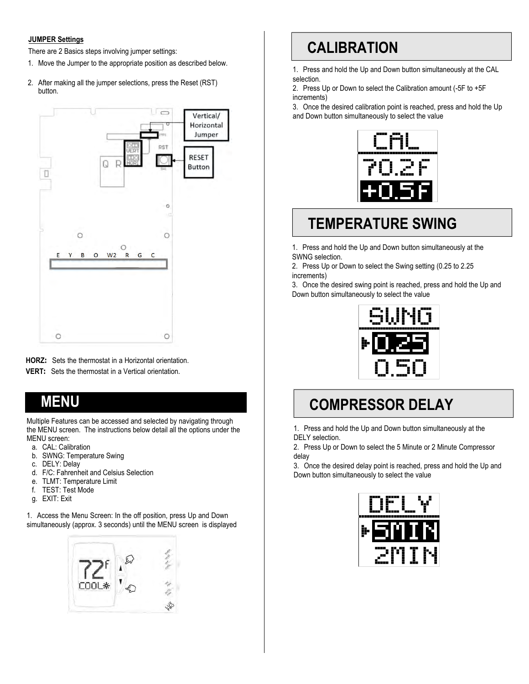#### **JUMPER Settings**

There are 2 Basics steps involving jumper settings:

- 1. Move the Jumper to the appropriate position as described below.
- 2. After making all the jumper selections, press the Reset (RST) button.



**HORZ:** Sets the thermostat in a Horizontal orientation.

**VERT:** Sets the thermostat in a Vertical orientation.

## **MENU**

Multiple Features can be accessed and selected by navigating through the MENU screen. The instructions below detail all the options under the MENU screen:

- a. CAL: Calibration
- b. SWNG: Temperature Swing
- c. DELY: Delay
- d. F/C: Fahrenheit and Celsius Selection
- e. TLMT: Temperature Limit
- f. TEST: Test Mode
- g. EXIT: Exit

1. Access the Menu Screen: In the off position, press Up and Down simultaneously (approx. 3 seconds) until the MENU screen is displayed



# **CALIBRATION**

1. Press and hold the Up and Down button simultaneously at the CAL selection.

2. Press Up or Down to select the Calibration amount (-5F to +5F increments)

3. Once the desired calibration point is reached, press and hold the Up and Down button simultaneously to select the value



## **TEMPERATURE SWING**

1. Press and hold the Up and Down button simultaneously at the SWNG selection.

2. Press Up or Down to select the Swing setting (0.25 to 2.25 increments)

3. Once the desired swing point is reached, press and hold the Up and Down button simultaneously to select the value



## **COMPRESSOR DELAY**

1. Press and hold the Up and Down button simultaneously at the DELY selection.

2. Press Up or Down to select the 5 Minute or 2 Minute Compressor delay

3. Once the desired delay point is reached, press and hold the Up and Down button simultaneously to select the value